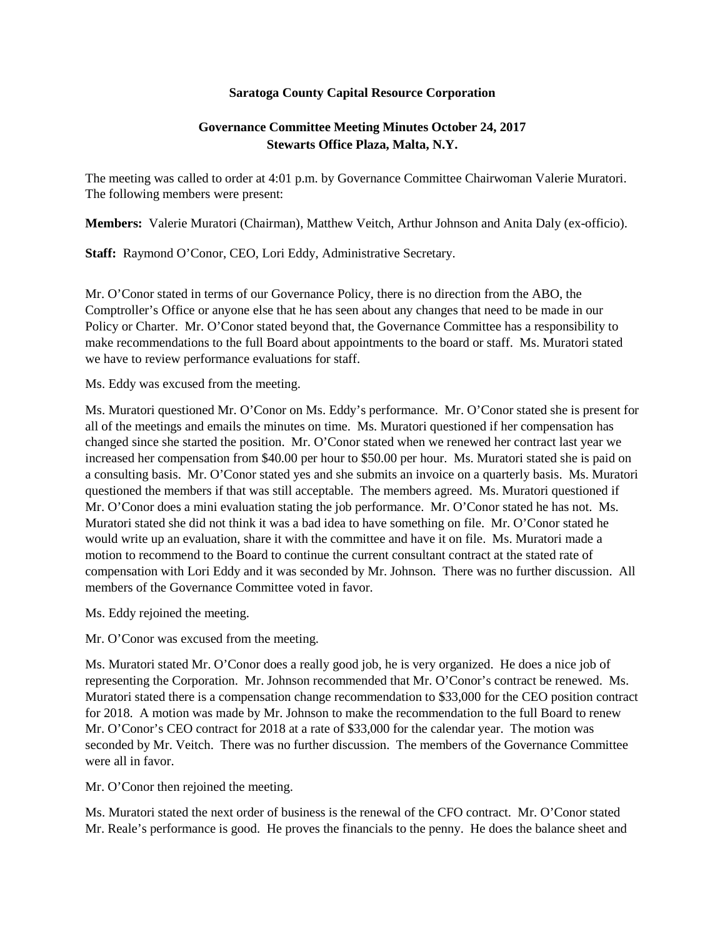## **Saratoga County Capital Resource Corporation**

## **Governance Committee Meeting Minutes October 24, 2017 Stewarts Office Plaza, Malta, N.Y.**

The meeting was called to order at 4:01 p.m. by Governance Committee Chairwoman Valerie Muratori. The following members were present:

**Members:** Valerie Muratori (Chairman), Matthew Veitch, Arthur Johnson and Anita Daly (ex-officio).

**Staff:** Raymond O'Conor, CEO, Lori Eddy, Administrative Secretary.

Mr. O'Conor stated in terms of our Governance Policy, there is no direction from the ABO, the Comptroller's Office or anyone else that he has seen about any changes that need to be made in our Policy or Charter. Mr. O'Conor stated beyond that, the Governance Committee has a responsibility to make recommendations to the full Board about appointments to the board or staff. Ms. Muratori stated we have to review performance evaluations for staff.

Ms. Eddy was excused from the meeting.

Ms. Muratori questioned Mr. O'Conor on Ms. Eddy's performance. Mr. O'Conor stated she is present for all of the meetings and emails the minutes on time. Ms. Muratori questioned if her compensation has changed since she started the position. Mr. O'Conor stated when we renewed her contract last year we increased her compensation from \$40.00 per hour to \$50.00 per hour. Ms. Muratori stated she is paid on a consulting basis. Mr. O'Conor stated yes and she submits an invoice on a quarterly basis. Ms. Muratori questioned the members if that was still acceptable. The members agreed. Ms. Muratori questioned if Mr. O'Conor does a mini evaluation stating the job performance. Mr. O'Conor stated he has not. Ms. Muratori stated she did not think it was a bad idea to have something on file. Mr. O'Conor stated he would write up an evaluation, share it with the committee and have it on file. Ms. Muratori made a motion to recommend to the Board to continue the current consultant contract at the stated rate of compensation with Lori Eddy and it was seconded by Mr. Johnson. There was no further discussion. All members of the Governance Committee voted in favor.

Ms. Eddy rejoined the meeting.

Mr. O'Conor was excused from the meeting.

Ms. Muratori stated Mr. O'Conor does a really good job, he is very organized. He does a nice job of representing the Corporation. Mr. Johnson recommended that Mr. O'Conor's contract be renewed. Ms. Muratori stated there is a compensation change recommendation to \$33,000 for the CEO position contract for 2018. A motion was made by Mr. Johnson to make the recommendation to the full Board to renew Mr. O'Conor's CEO contract for 2018 at a rate of \$33,000 for the calendar year. The motion was seconded by Mr. Veitch. There was no further discussion. The members of the Governance Committee were all in favor.

Mr. O'Conor then rejoined the meeting.

Ms. Muratori stated the next order of business is the renewal of the CFO contract. Mr. O'Conor stated Mr. Reale's performance is good. He proves the financials to the penny. He does the balance sheet and